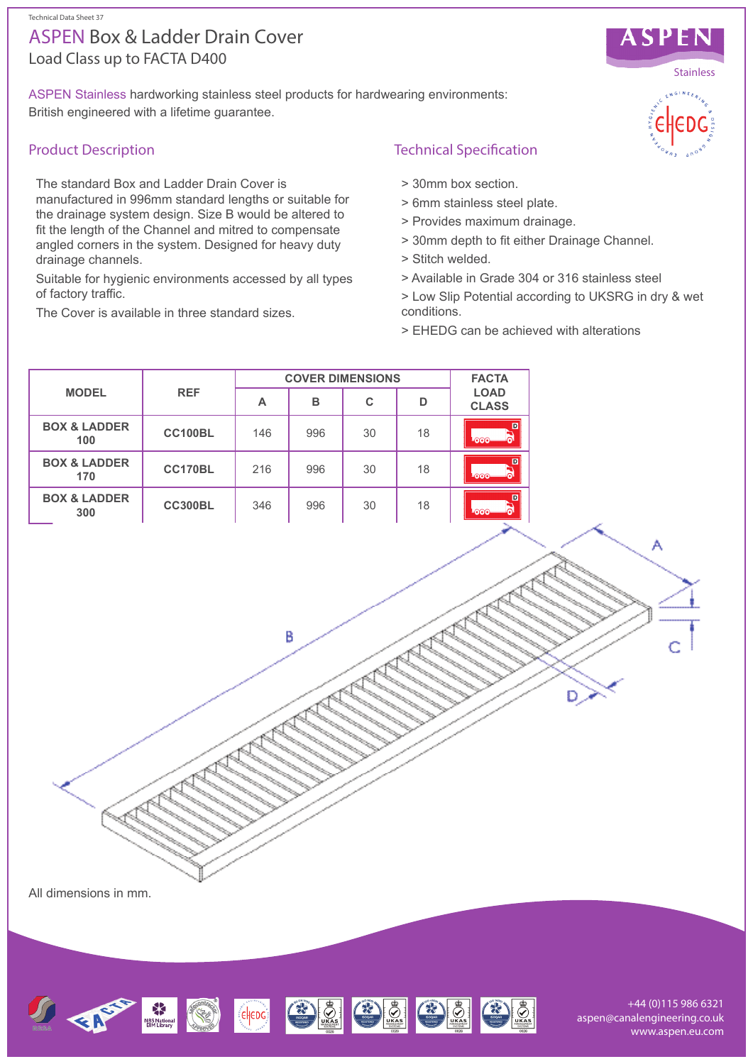# Load Class up to FACTA D400 ASPEN Box & Ladder Drain Cover

ASPEN Stainless hardworking stainless steel products for hardwearing environments: British engineered with a lifetime guarantee.

## Product Description

The standard Box and Ladder Drain Cover is manufactured in 996mm standard lengths or suitable for the drainage system design. Size B would be altered to fit the length of the Channel and mitred to compensate angled corners in the system. Designed for heavy duty drainage channels.

Suitable for hygienic environments accessed by all types of factory traffic.

The Cover is available in three standard sizes.



- > 30mm box section.
- > 6mm stainless steel plate.
- > Provides maximum drainage.
- > 30mm depth to fit either Drainage Channel.
- > Stitch welded.
- > Available in Grade 304 or 316 stainless steel
- > Low Slip Potential according to UKSRG in dry & wet conditions.
- > EHEDG can be achieved with alterations

| <b>MODEL</b>                   | <b>REF</b>     | <b>COVER DIMENSIONS</b> |     |    |    | <b>FACTA</b>                |
|--------------------------------|----------------|-------------------------|-----|----|----|-----------------------------|
|                                |                | А                       | в   | С  | D  | <b>LOAD</b><br><b>CLASS</b> |
| <b>BOX &amp; LADDER</b><br>100 | <b>CC100BL</b> | 146                     | 996 | 30 | 18 | D<br><u>-ഞ</u>              |
| <b>BOX &amp; LADDER</b><br>170 | CC170BL        | 216                     | 996 | 30 | 18 | $\mathbf{D}$<br><b>ANDY</b> |
| <b>BOX &amp; LADDER</b><br>300 | <b>CC300BL</b> | 346                     | 996 | 30 | 18 | $\Box$<br>ഛഹ                |

B

All dimensions in mm.



+44 (0)115 986 6321 aspen@canalengineering.co.uk www.aspen.eu.com